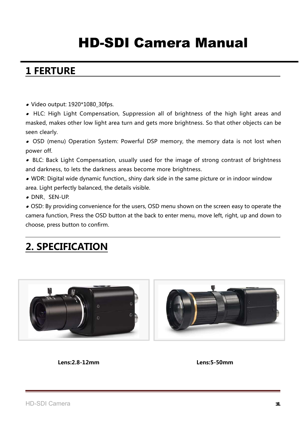# HD-SDI Camera Manual

### **1 FERTURE**

● Video output: 1920\*1080\_30fps.

● HLC: High Light Compensation, Suppression all of brightness of the high light areas and masked, makes other low light area turn and gets more brightness. So that other objects can be seen clearly.

● OSD (menu) Operation System: Powerful DSP memory, the memory data is not lost when power off.

● BLC: Back Light Compensation, usually used for the image of strong contrast of brightness and darkness, to lets the darkness areas become more brightness.

 $\bullet$  WDR: Digital wide dynamic function,, shiny dark side in the same picture or in indoor window area. Light perfectly balanced, the details visible.

● DNR、SEN-UP.

 $\bullet$  OSD: By providing convenience for the users, OSD menu shown on the screen easy to operate the camera function, Press the OSD button at the back to enter menu, move left, right, up and down to choose, press button to confirm.

## **2. SPECIFICATION**



**Lens:2.8-12mm Lens:5-50mm**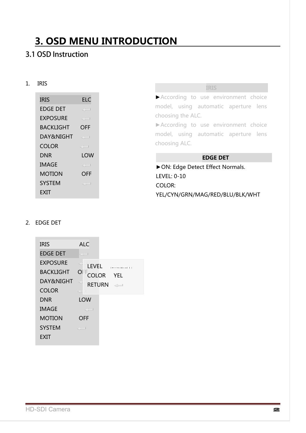## **3. OSD MENU INTRODUCTION**

### 3.1 OSD Instruction

#### 1. IRIS

| IRIS          | ELC          |
|---------------|--------------|
| EDGE DET      | c) = 1       |
| EXPOSURE      | GH I         |
| BACKLIGHT     | OFF          |
| DAY&NIGHT     | <: 1         |
| COLOR         | <: 1         |
| DNR           | LOW          |
| IMAGE         | <: 1         |
| MOTION        | OFF          |
| <b>SYSTEM</b> | $\subset -1$ |
| EXIT          |              |
|               |              |

|  | $\frac{1}{2}$<br>. |  |  |
|--|--------------------|--|--|
|  |                    |  |  |

►According to use environment choice model, using automatic aperture lens choosing the ALC.

►According to use environment choice model, using automatic aperture lens choosing ALC.

#### **EDGE DET**

►ON: Edge Detect Effect Normals. LEVEL: 0-10 COLOR: YEL/CYN/GRN/MAG/RED/BLU/BLK/WHT

#### 2. EDGE DET

| <b>IRIS</b>      | ALC                                             |
|------------------|-------------------------------------------------|
| <b>EDGE DET</b>  | en en la                                        |
| <b>EXPOSURE</b>  | <b>LEVEL</b><br><b>Location and control 101</b> |
| <b>BACKLIGHT</b> | $\Box$<br><b>COLOR</b><br><b>YEL</b>            |
| DAY&NIGHT        | C.<br>RETURN -                                  |
| <b>COLOR</b>     | c'il I                                          |
| <b>DNR</b>       | LOW                                             |
| <b>IMAGE</b>     | <: 1                                            |
| MOTION           | OFF                                             |
| <b>SYSTEM</b>    | $\ll -1$                                        |
| EXIT             |                                                 |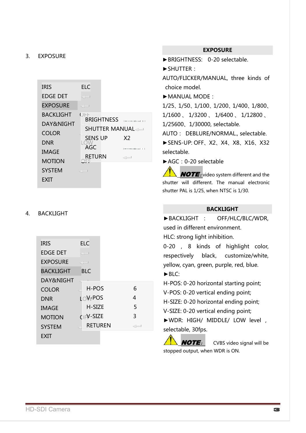#### 3. EXPOSURE

| <b>IRIS</b>      | ELC                      |                        |
|------------------|--------------------------|------------------------|
| <b>EDGE DET</b>  | c'h d                    |                        |
| <b>EXPOSURE</b>  | $< -1$                   |                        |
| <b>BACKLIGHT</b> | OFF<br><b>BRIGHTNESS</b> |                        |
| DAY&NIGHT        | <b>SHUTTER MANUAL</b>    | Louisiana colorado 111 |
| <b>COLOR</b>     |                          |                        |
| DNR              | <b>SENS UP</b>           | X <sub>2</sub>         |
| <b>IMAGE</b>     | AGC                      | [mommunician]   1      |
| <b>MOTION</b>    | <b>RETURN</b>            | $\leftarrow$           |
| <b>SYSTEM</b>    | $\leq -1$                |                        |
| EXII             |                          |                        |

#### 4. BACKLIGHT

| <b>IRIS</b>      | ELC                     |    |
|------------------|-------------------------|----|
| <b>EDGE DET</b>  | $< -1$                  |    |
| <b>EXPOSURE</b>  | di l                    |    |
| <b>BACKLIGHT</b> | <b>BLC</b>              |    |
| DAY&NIGHT        |                         |    |
| <b>COLOR</b>     | H-POS                   | 6  |
| <b>DNR</b>       | LOV <sub>t</sub> POS    | 4  |
| <b>IMAGE</b>     | H-SIZE                  | 5  |
| <b>MOTION</b>    | $O$ <sub>F</sub> V-SIZE | 3  |
| <b>SYSTEM</b>    | <b>RETUREN</b>          | -- |
| EXIT             |                         |    |

#### **EXPOSURE**

►BRIGHTNESS: 0-20 selectable.

►SHUTTER:

AUTO/FLICKER/MANUAL, three kinds of choice model.

►MANUAL MODE:

1/25、1/50、1/100、1/200、1/400、1/800、 1/1600 、 1/3200 、 1/6400 、 1/12800 、 1/25600、1/30000, selectable.

AUTO: DEBLURE/NORMAL., selectable.

►SENS-UP: OFF、X2、X4、X8、X16、X32 selectable.

►AGC:0-20 selectable

**NOTE**: video system different and the shutter will different. The manual electronic shutter PAL is 1/25, when NTSC is 1/30.

#### **BACKLIGHT**

| ▶BACKLIGHT : OFF/HLC/BLC/WDR,           |  |  |  |
|-----------------------------------------|--|--|--|
| used in different environment.          |  |  |  |
| HLC: strong light inhibition.           |  |  |  |
| 0-20, 8 kinds of highlight color,       |  |  |  |
| respectively black, customize/white,    |  |  |  |
| yellow, cyan, green, purple, red, blue. |  |  |  |
| $\blacktriangleright$ BLC:              |  |  |  |
| H-POS: 0-20 horizontal starting point;  |  |  |  |
| V-POS: 0-20 vertical ending point;      |  |  |  |
| H-SIZE: 0-20 horizontal ending point;   |  |  |  |
| V-SIZE: 0-20 vertical ending point;     |  |  |  |
| NWDR: HIGH/ MIDDLE/ LOW level,          |  |  |  |
| selectable, 30fps.                      |  |  |  |
| $MOTE.$ CVRS video signal will be       |  |  |  |

CVBS video signal will be stopped output, when WDR is ON.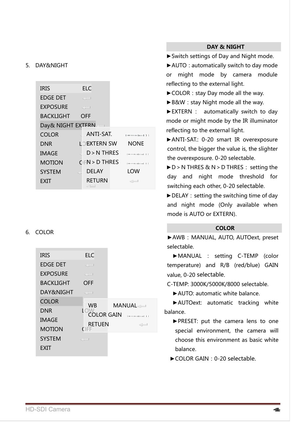#### 5. DAY&NIGHT

| <b>IRIS</b>       | <b>ELC</b>         |                           |
|-------------------|--------------------|---------------------------|
| <b>EDGE DET</b>   | $\leq -1$          |                           |
| <b>EXPOSURE</b>   | $< -1$             |                           |
| <b>BACKLIGHT</b>  | <b>OFF</b>         |                           |
| Day& NIGHT EXTERN |                    |                           |
| <b>COLOR</b>      | ANTI-SAT.          | <b>Tummono figural 11</b> |
| <b>DNR</b>        | <b>LOEXTERN SW</b> | <b>NONE</b>               |
| <b>IMAGE</b>      | $D > N$ THRES      | Lance and continued at 11 |
| <b>MOTION</b>     | $C$ FN > D THRES   | Lance and continued at 11 |
| <b>SYSTEM</b>     | <b>DELAY</b>       | LOW                       |
| EXIT              | <b>RETURN</b>      | $\leftarrow$              |

#### 6. COLOR

| <b>IRIS</b>      | <b>ELC</b>               |                                   |
|------------------|--------------------------|-----------------------------------|
| <b>EDGE DET</b>  | $\ll -1$                 |                                   |
| <b>EXPOSURE</b>  | $\leq -1$                |                                   |
| <b>BACKLIGHT</b> | <b>OFF</b>               |                                   |
| DAY&NIGHT        | $<^+$                    |                                   |
| <b>COLOR</b>     | <b>WB</b>                | MANUAL                            |
| <b>DNR</b>       | LOW<br><b>COLOR GAIN</b> |                                   |
| <b>IMAGE</b>     |                          | Longitude in a filter and in L. 1 |
| <b>MOTION</b>    | <b>RETUEN</b><br>OFF     | $\leftarrow$                      |
| <b>SYSTEM</b>    | $\leq -1$                |                                   |
| EXIT             |                          |                                   |

#### **DAY & NIGHT**

►Switch settings of Day and Night mode.

▶ AUTO: automatically switch to day mode or might mode by camera module reflecting to the external light.

► COLOR: stay Day mode all the way.

► B&W: stay Night mode all the way.

►EXTERN : automatically switch to day mode or might mode by the IR illuminator reflecting to the external light.

►ANTI-SAT.: 0-20 smart IR overexposure control, the bigger the value is, the slighter the overexposure. 0-20 selectable.

►D>N THRES & N>D THRES: setting the day and night mode threshold for switching each other, 0-20 selectable.

 $\blacktriangleright$  DELAY: setting the switching time of day and night mode (Only available when mode is AUTO or EXTERN).

#### **COLOR**

▶ AWB: MANUAL, AUTO, AUTOext, preset selectable.

►MANUAL : setting C-TEMP (color temperature) and R/B (red/blue) GAIN value, 0-20 selectable.

C-TEMP: 3000K/5000K/8000 selectable.

►AUTO: automatic white balance.

►AUTOext: automatic tracking white balance.

►PRESET: put the camera lens to one special environment, the camera will choose this environment as basic white balance.

►COLOR GAIN:0-20 selectable.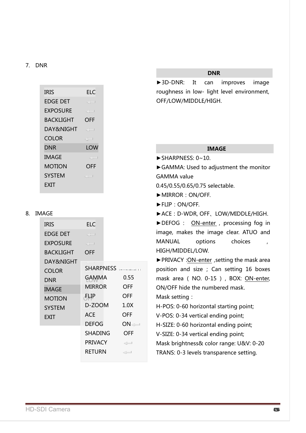#### 7. DNR

| <b>IRIS</b>     | ELC    |
|-----------------|--------|
| <b>EDGE DET</b> | C - 1  |
| <b>EXPOSURE</b> | CH I   |
| BACKLIGHT       | OFF    |
| DAY&NIGHT       | <: 1   |
| COLOR           | $< -1$ |
| DNR             | LOW    |
| IMAGE           | c) = 1 |
| MOTION          | OFF    |
| <b>SYSTEM</b>   | <: 1   |
| FXIT            |        |
|                 |        |

#### 8. IMAGE

| <b>IRIS</b>      | <b>ELC</b>     |                  |
|------------------|----------------|------------------|
| <b>EDGE DET</b>  | c'i l          |                  |
| <b>EXPOSURE</b>  | $\ll\perp$     |                  |
| <b>BACKLIGHT</b> | OFF            |                  |
| DAY&NIGHT        |                |                  |
| COLOR            | SHARPNESS      |                  |
| DNR              | GAMMA          | 0.55             |
| IMAGE            | <b>MIRROR</b>  | OFF              |
| <b>MOTION</b>    | ΨFЉ.           | OFF              |
| <b>SYSTEM</b>    | D-ZOOM         | 1.0 <sub>X</sub> |
| EXIT             | ACE            | OFF              |
|                  | <b>DEFOG</b>   | ON⊲—             |
|                  | SHADING        | OFF              |
|                  | <b>PRIVACY</b> | $\langle -$      |
|                  | <b>RETURN</b>  | $\leftarrow$     |
|                  |                |                  |

#### **DNR**

►3D-DNR: It can improves image roughness in low- light level environment, OFF/LOW/MIDDLE/HIGH.

### **IMAGE**

►GAMMA: Used to adjustment the monitor GAMMA value

0.45/0.55/0.65/0.75 selectable.

► MIRROR: ON/OFF.

 $\blacktriangleright$  SHARPNESS: 0~10.

►FLIP:ON/OFF.

►ACE:D-WDR, OFF、LOW/MIDDLE/HIGH.

►DEFOG : ON-enter , processing fog in image, makes the image clear. ATUO and MANUAL options choices , HIGH/MIDDEL/LOW.

► PRIVACY: ON-enter, setting the mask area position and size ; Can setting 16 boxes mask area ( NO. 0-15 ) , BOX: ON-enter, ON/OFF hide the numbered mask.

Mask setting:

H-POS: 0-60 horizontal starting point;

V-POS: 0-34 vertical ending point;

H-SIZE: 0-60 horizontal ending point;

V-SIZE: 0-34 vertical ending point;

Mask brightness& color range: U&V: 0-20

TRANS: 0-3 levels transparence setting.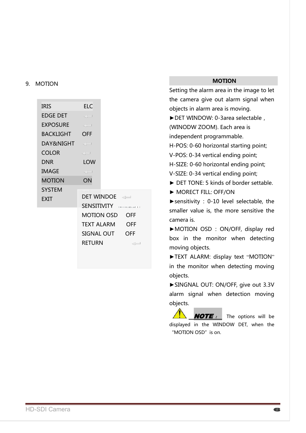#### 9. MOTION

| <b>IRIS</b>          | <b>ELC</b>        |                                |              |
|----------------------|-------------------|--------------------------------|--------------|
| <b>EDGE DET</b>      | $\leq -1$         |                                |              |
| EXPOSURE             | $\ll -1$          |                                |              |
| BACKLIGHT            | <b>OFF</b>        |                                |              |
| <b>DAY&amp;NIGHT</b> |                   |                                |              |
| <b>COLOR</b>         | $\leq -1$         |                                |              |
| DNR                  | <b>LOW</b>        |                                |              |
| <b>IMAGE</b>         | $\leq-1$          |                                |              |
| <b>MOTION</b>        | ON                |                                |              |
| <b>SYSTEM</b>        |                   |                                |              |
| <b>EXIT</b>          |                   | DET WINDOE                     |              |
|                      |                   | SENSITIVITY <b>SENSITIVITY</b> |              |
|                      |                   | MOTION OSD                     | OFF          |
|                      | <b>TEXT ALARM</b> |                                | <b>OFF</b>   |
|                      |                   | SIGNAL OUT                     | OFF          |
|                      | RETURN            |                                | $\leftarrow$ |
|                      |                   |                                |              |

#### **MOTION**

Setting the alarm area in the image to let the camera give out alarm signal when objects in alarm area is moving. ►DET WINDOW: 0-3area selectable, (WINODW ZOOM). Each area is independent programmable. H-POS: 0-60 horizontal starting point; V-POS: 0-34 vertical ending point; H-SIZE: 0-60 horizontal ending point; V-SIZE: 0-34 vertical ending point; ► DET TONE: 5 kinds of border settable.

► MORECT FILL: OFF/ON

►sensitivity : 0-10 level selectable, the smaller value is, the more sensitive the camera is.

►MOTION OSD : ON/OFF, display red box in the monitor when detecting moving objects.

►TEXT ALARM: display text "MOTION" in the monitor when detecting moving objects.

►SINGNAL OUT: ON/OFF, give out 3.3V alarm signal when detection moving objects.

**NOTE** : The options will be displayed in the WINDOW DET, when the "MOTION OSD" is on.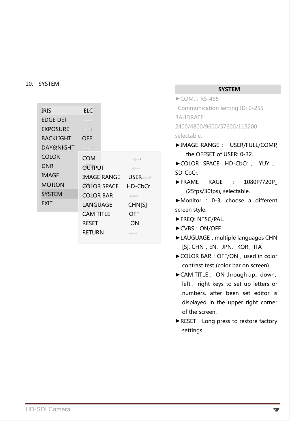#### 10. SYSTEM

| <b>IRIS</b>      | <b>ELC</b>       |                    |
|------------------|------------------|--------------------|
| <b>EDGE DET</b>  | $\leq -1$        |                    |
| <b>EXPOSURE</b>  | $\ll -1$         |                    |
| <b>BACKLIGHT</b> | OFF              |                    |
| DAY&NIGHT        | $\leq -1$        |                    |
| <b>COLOR</b>     | COM.             | $\leq -1$          |
| <b>DNR</b>       | OUTPUT           | $\langle -$        |
| <b>IMAGE</b>     | IMAGE RANGE      | $USER \rightarrow$ |
| <b>MOTION</b>    | COLOR SPACE      | HD-CbCr            |
| <b>SYSTEM</b>    | <b>COLOR BAR</b> | $\langle -$        |
| EXIT             | LANGUAGE         | <b>CHN[S]</b>      |
|                  | CAM TITLE        | OFF                |
|                  | RESET            | ON                 |
|                  | RETURN           | $\leftarrow$       |

#### **SYSTEM**

 $\blacktriangleright$ COM.: RS-485 Communication setting ID: 0-255, BAUDRATE: 2400/4800/9600/57600/115200 selectable.

- ►IMAGE RANGE : USER/FULL/COMP, the OFFSET of USER: 0-32.
- ►COLOR SPACE: HD-CbCr 、 YUY 、 SD-CbCr.
- ►FRAME RAGE : 1080P/720P\_ (25fps/30fps), selectable.

►Monitor : 0-3, choose a different screen style.

- ►FREQ: NTSC/PAL.
- ►CVBS:ON/OFF.
- ►LAUGUAGE:multiple languages CHN [S], CHN, EN、JPN、KOR、ITA
- ► COLOR BAR: OFF/ON, used in color contrast test (color bar on screen).
- ►CAM TITLE: ON through up、down、 left, right keys to set up letters or numbers, after been set editor is displayed in the upper right corner of the screen.
- ►RESET:Long press to restore factory settings.